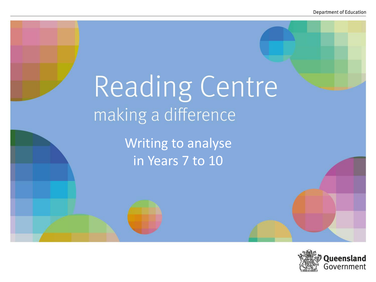# Reading Centre making a difference

Writing to analyse in Years 7 to 10

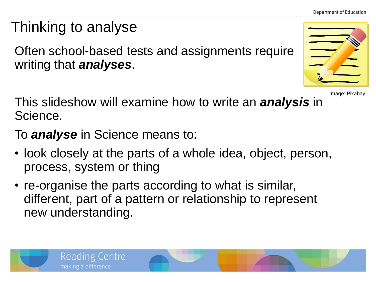**Department of Education** 

## Thinking to analyse

Often school-based tests and assignments require writing that *analyses*.



Image: Pixabay

This slideshow will examine how to write an *analysis* in Science.

To *analyse* in Science means to:

- look closely at the parts of a whole idea, object, person, process, system or thing
- re-organise the parts according to what is similar, different, part of a pattern or relationship to represent new understanding.

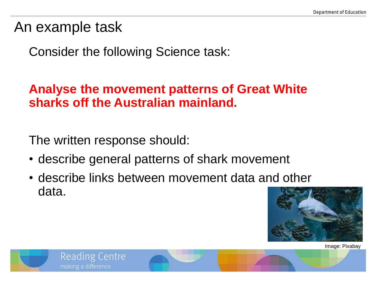An example task

Consider the following Science task:

#### **Analyse the movement patterns of Great White sharks off the Australian mainland.**

The written response should:

**Reading Centre** 

making a difference

- describe general patterns of shark movement
- describe links between movement data and other data.



Image: Pixabay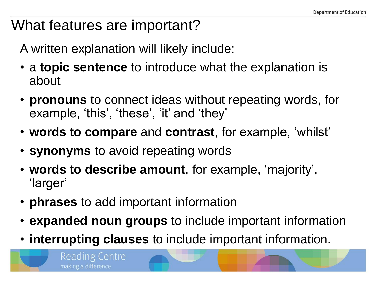#### What features are important?

A written explanation will likely include:

- a **topic sentence** to introduce what the explanation is about
- **pronouns** to connect ideas without repeating words, for example, 'this', 'these', 'it' and 'they'
- **words to compare** and **contrast**, for example, 'whilst'
- **synonyms** to avoid repeating words
- **words to describe amount**, for example, 'majority', 'larger'
- **phrases** to add important information

Reading Centre

making a difference

- **expanded noun groups** to include important information
- **interrupting clauses** to include important information.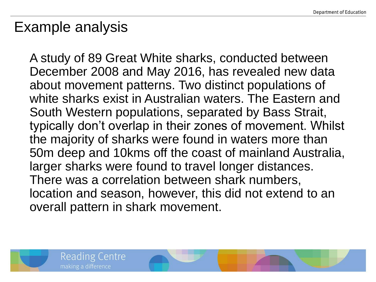### Example analysis

A study of 89 Great White sharks, conducted between December 2008 and May 2016, has revealed new data about movement patterns. Two distinct populations of white sharks exist in Australian waters. The Eastern and South Western populations, separated by Bass Strait, typically don't overlap in their zones of movement. Whilst the majority of sharks were found in waters more than 50m deep and 10kms off the coast of mainland Australia, larger sharks were found to travel longer distances. There was a correlation between shark numbers, location and season, however, this did not extend to an overall pattern in shark movement.



Reading Centre

making a difference